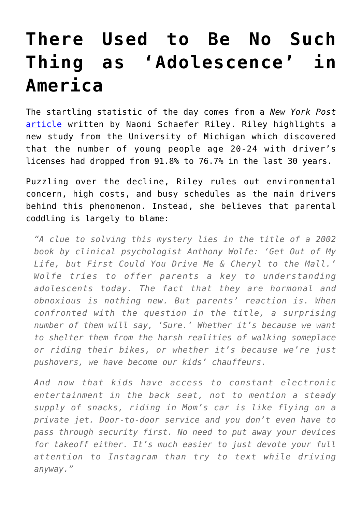## **[There Used to Be No Such](https://intellectualtakeout.org/2016/02/there-used-to-be-no-such-thing-as-adolescence-in-america/) [Thing as 'Adolescence' in](https://intellectualtakeout.org/2016/02/there-used-to-be-no-such-thing-as-adolescence-in-america/) [America](https://intellectualtakeout.org/2016/02/there-used-to-be-no-such-thing-as-adolescence-in-america/)**

The startling statistic of the day comes from a *New York Post* [article](http://nypost.com/2016/01/31/why-are-fewer-young-people-getting-drivers-licenses/) written by Naomi Schaefer Riley. Riley highlights a new study from the University of Michigan which discovered that the number of young people age 20-24 with driver's licenses had dropped from 91.8% to 76.7% in the last 30 years.

Puzzling over the decline, Riley rules out environmental concern, high costs, and busy schedules as the main drivers behind this phenomenon. Instead, she believes that parental coddling is largely to blame:

*"A clue to solving this mystery lies in the title of a 2002 book by clinical psychologist Anthony Wolfe: 'Get Out of My Life, but First Could You Drive Me & Cheryl to the Mall.' Wolfe tries to offer parents a key to understanding adolescents today. The fact that they are hormonal and obnoxious is nothing new. But parents' reaction is. When confronted with the question in the title, a surprising number of them will say, 'Sure.' Whether it's because we want to shelter them from the harsh realities of walking someplace or riding their bikes, or whether it's because we're just pushovers, we have become our kids' chauffeurs.*

*And now that kids have access to constant electronic entertainment in the back seat, not to mention a steady supply of snacks, riding in Mom's car is like flying on a private jet. Door-to-door service and you don't even have to pass through security first. No need to put away your devices for takeoff either. It's much easier to just devote your full attention to Instagram than try to text while driving anyway."*